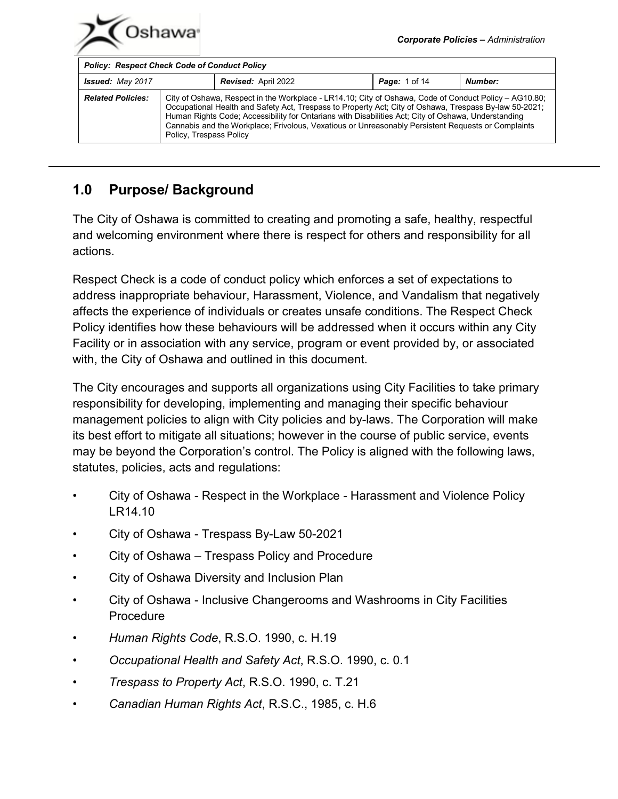| <b>Issued: May 2017</b>  |                                                                                                                                                                                                                                                                                                                                                                                                                                                         | <b>Revised: April 2022</b> | <b>Page:</b> 1 of 14 | Number: |
|--------------------------|---------------------------------------------------------------------------------------------------------------------------------------------------------------------------------------------------------------------------------------------------------------------------------------------------------------------------------------------------------------------------------------------------------------------------------------------------------|----------------------------|----------------------|---------|
| <b>Related Policies:</b> | City of Oshawa, Respect in the Workplace - LR14.10; City of Oshawa, Code of Conduct Policy - AG10.80;<br>Occupational Health and Safety Act, Trespass to Property Act; City of Oshawa, Trespass By-law 50-2021;<br>Human Rights Code; Accessibility for Ontarians with Disabilities Act; City of Oshawa, Understanding<br>Cannabis and the Workplace; Frivolous, Vexatious or Unreasonably Persistent Requests or Complaints<br>Policy, Trespass Policy |                            |                      |         |

# **1.0 Purpose/ Background**

The City of Oshawa is committed to creating and promoting a safe, healthy, respectful and welcoming environment where there is respect for others and responsibility for all actions.

Respect Check is a code of conduct policy which enforces a set of expectations to address inappropriate behaviour, Harassment, Violence, and Vandalism that negatively affects the experience of individuals or creates unsafe conditions. The Respect Check Policy identifies how these behaviours will be addressed when it occurs within any City Facility or in association with any service, program or event provided by, or associated with, the City of Oshawa and outlined in this document.

The City encourages and supports all organizations using City Facilities to take primary responsibility for developing, implementing and managing their specific behaviour management policies to align with City policies and by-laws. The Corporation will make its best effort to mitigate all situations; however in the course of public service, events may be beyond the Corporation's control. The Policy is aligned with the following laws, statutes, policies, acts and regulations:

- City of Oshawa Respect in the Workplace Harassment and Violence Policy LR14.10
- City of Oshawa Trespass By-Law 50-2021
- City of Oshawa Trespass Policy and Procedure
- City of Oshawa Diversity and Inclusion Plan
- City of Oshawa Inclusive Changerooms and Washrooms in City Facilities **Procedure**
- *Human Rights Code*, R.S.O. 1990, c. H.19
- *Occupational Health and Safety Act*, R.S.O. 1990, c. 0.1
- *Trespass to Property Act*, R.S.O. 1990, c. T.21
- *Canadian Human Rights Act*, R.S.C., 1985, c. H.6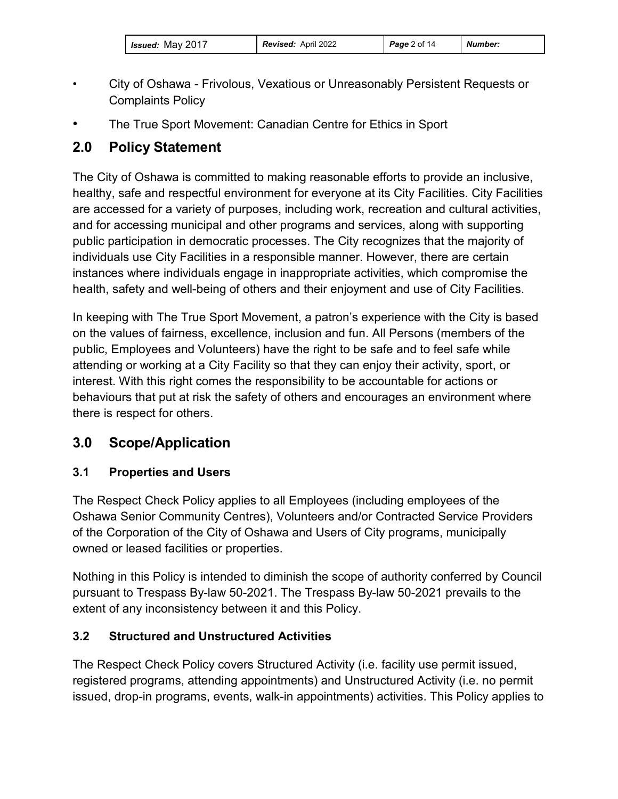| <i>Issued:</i> May 2017 | <b>Revised: April 2022</b> | <b>Page</b> 2 of 14 | Number: |
|-------------------------|----------------------------|---------------------|---------|
|-------------------------|----------------------------|---------------------|---------|

- City of Oshawa Frivolous, Vexatious or Unreasonably Persistent Requests or Complaints Policy
- The True Sport Movement: Canadian Centre for Ethics in Sport

# **2.0 Policy Statement**

The City of Oshawa is committed to making reasonable efforts to provide an inclusive, healthy, safe and respectful environment for everyone at its City Facilities. City Facilities are accessed for a variety of purposes, including work, recreation and cultural activities, and for accessing municipal and other programs and services, along with supporting public participation in democratic processes. The City recognizes that the majority of individuals use City Facilities in a responsible manner. However, there are certain instances where individuals engage in inappropriate activities, which compromise the health, safety and well-being of others and their enjoyment and use of City Facilities.

In keeping with The True Sport Movement, a patron's experience with the City is based on the values of fairness, excellence, inclusion and fun. All Persons (members of the public, Employees and Volunteers) have the right to be safe and to feel safe while attending or working at a City Facility so that they can enjoy their activity, sport, or interest. With this right comes the responsibility to be accountable for actions or behaviours that put at risk the safety of others and encourages an environment where there is respect for others.

# **3.0 Scope/Application**

## **3.1 Properties and Users**

The Respect Check Policy applies to all Employees (including employees of the Oshawa Senior Community Centres), Volunteers and/or Contracted Service Providers of the Corporation of the City of Oshawa and Users of City programs, municipally owned or leased facilities or properties.

Nothing in this Policy is intended to diminish the scope of authority conferred by Council pursuant to Trespass By-law 50-2021. The Trespass By-law 50-2021 prevails to the extent of any inconsistency between it and this Policy.

## **3.2 Structured and Unstructured Activities**

The Respect Check Policy covers Structured Activity (i.e. facility use permit issued, registered programs, attending appointments) and Unstructured Activity (i.e. no permit issued, drop-in programs, events, walk-in appointments) activities. This Policy applies to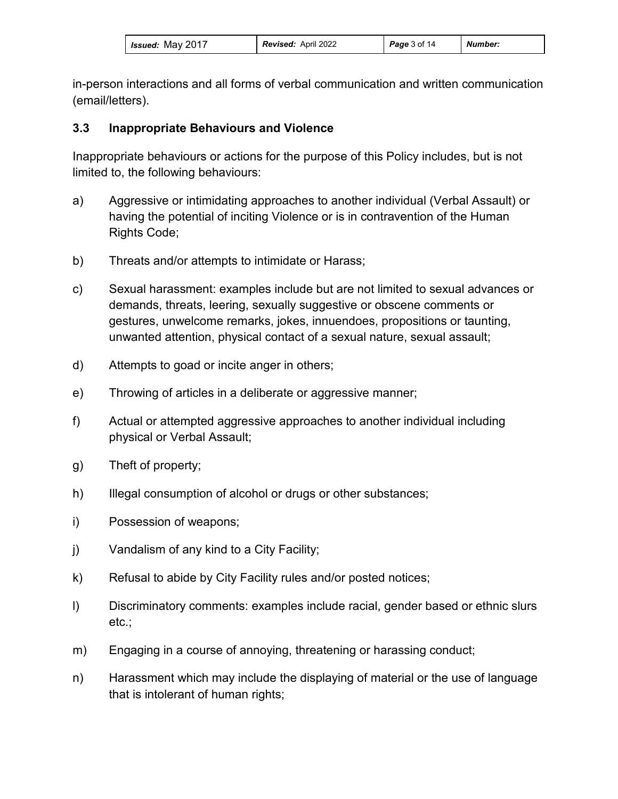| Issued: May 2017 | <b>Revised: April 2022</b> | <b>Page</b> 3 of 14 | <b>Number:</b> |
|------------------|----------------------------|---------------------|----------------|
|------------------|----------------------------|---------------------|----------------|

in-person interactions and all forms of verbal communication and written communication (email/letters).

#### **3.3 Inappropriate Behaviours and Violence**

Inappropriate behaviours or actions for the purpose of this Policy includes, but is not limited to, the following behaviours:

- a) Aggressive or intimidating approaches to another individual (Verbal Assault) or having the potential of inciting Violence or is in contravention of the Human Rights Code;
- b) Threats and/or attempts to intimidate or Harass;
- c) Sexual harassment: examples include but are not limited to sexual advances or demands, threats, leering, sexually suggestive or obscene comments or gestures, unwelcome remarks, jokes, innuendoes, propositions or taunting, unwanted attention, physical contact of a sexual nature, sexual assault;
- d) Attempts to goad or incite anger in others;
- e) Throwing of articles in a deliberate or aggressive manner;
- f) Actual or attempted aggressive approaches to another individual including physical or Verbal Assault;
- g) Theft of property;
- h) Illegal consumption of alcohol or drugs or other substances;
- i) Possession of weapons;
- j) Vandalism of any kind to a City Facility;
- k) Refusal to abide by City Facility rules and/or posted notices;
- l) Discriminatory comments: examples include racial, gender based or ethnic slurs etc.;
- m) Engaging in a course of annoying, threatening or harassing conduct;
- n) Harassment which may include the displaying of material or the use of language that is intolerant of human rights;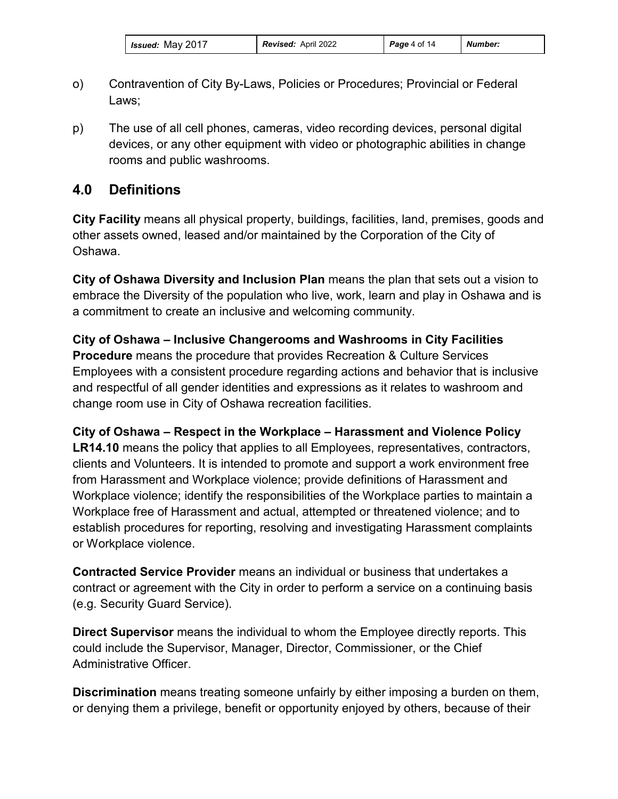| Issued: May 2017 | <b>Revised: April 2022</b> | <b>Page</b> 4 of 14 | Number: |
|------------------|----------------------------|---------------------|---------|
|------------------|----------------------------|---------------------|---------|

- o) Contravention of City By-Laws, Policies or Procedures; Provincial or Federal Laws;
- p) The use of all cell phones, cameras, video recording devices, personal digital devices, or any other equipment with video or photographic abilities in change rooms and public washrooms.

# **4.0 Definitions**

**City Facility** means all physical property, buildings, facilities, land, premises, goods and other assets owned, leased and/or maintained by the Corporation of the City of Oshawa.

**City of Oshawa Diversity and Inclusion Plan** means the plan that sets out a vision to embrace the Diversity of the population who live, work, learn and play in Oshawa and is a commitment to create an inclusive and welcoming community.

**City of Oshawa – Inclusive Changerooms and Washrooms in City Facilities Procedure** means the procedure that provides Recreation & Culture Services Employees with a consistent procedure regarding actions and behavior that is inclusive and respectful of all gender identities and expressions as it relates to washroom and change room use in City of Oshawa recreation facilities.

**City of Oshawa – Respect in the Workplace – Harassment and Violence Policy LR14.10** means the policy that applies to all Employees, representatives, contractors, clients and Volunteers. It is intended to promote and support a work environment free from Harassment and Workplace violence; provide definitions of Harassment and Workplace violence; identify the responsibilities of the Workplace parties to maintain a Workplace free of Harassment and actual, attempted or threatened violence; and to establish procedures for reporting, resolving and investigating Harassment complaints or Workplace violence.

**Contracted Service Provider** means an individual or business that undertakes a contract or agreement with the City in order to perform a service on a continuing basis (e.g. Security Guard Service).

**Direct Supervisor** means the individual to whom the Employee directly reports. This could include the Supervisor, Manager, Director, Commissioner, or the Chief Administrative Officer.

**Discrimination** means treating someone unfairly by either imposing a burden on them, or denying them a privilege, benefit or opportunity enjoyed by others, because of their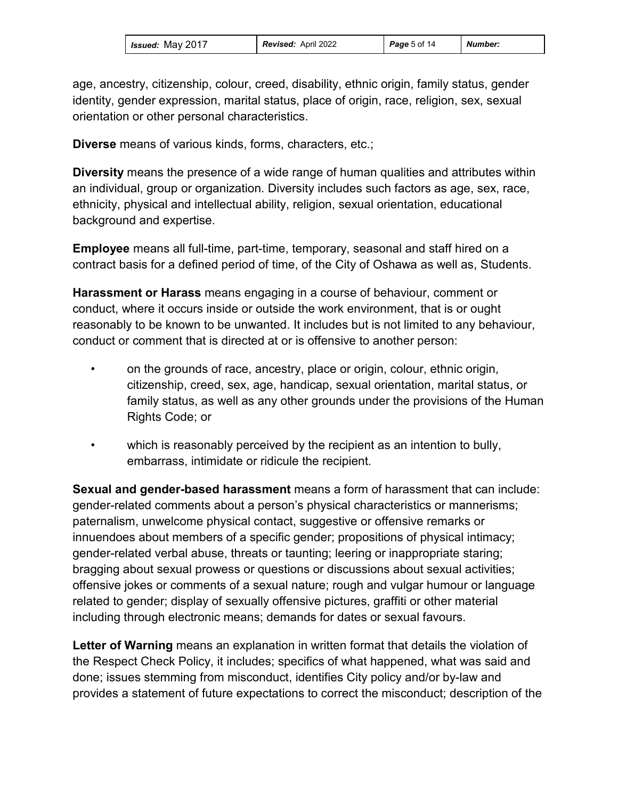age, ancestry, citizenship, colour, creed, disability, ethnic origin, family status, gender identity, gender expression, marital status, place of origin, race, religion, sex, sexual orientation or other personal characteristics.

**Diverse** means of various kinds, forms, characters, etc.;

**Diversity** means the presence of a wide range of human qualities and attributes within an individual, group or organization. Diversity includes such factors as age, sex, race, ethnicity, physical and intellectual ability, religion, sexual orientation, educational background and expertise.

**Employee** means all full-time, part-time, temporary, seasonal and staff hired on a contract basis for a defined period of time, of the City of Oshawa as well as, Students.

**Harassment or Harass** means engaging in a course of behaviour, comment or conduct, where it occurs inside or outside the work environment, that is or ought reasonably to be known to be unwanted. It includes but is not limited to any behaviour, conduct or comment that is directed at or is offensive to another person:

- on the grounds of race, ancestry, place or origin, colour, ethnic origin, citizenship, creed, sex, age, handicap, sexual orientation, marital status, or family status, as well as any other grounds under the provisions of the Human Rights Code; or
- which is reasonably perceived by the recipient as an intention to bully, embarrass, intimidate or ridicule the recipient.

**Sexual and gender-based harassment** means a form of harassment that can include: gender-related comments about a person's physical characteristics or mannerisms; paternalism, unwelcome physical contact, suggestive or offensive remarks or innuendoes about members of a specific gender; propositions of physical intimacy; gender-related verbal abuse, threats or taunting; leering or inappropriate staring; bragging about sexual prowess or questions or discussions about sexual activities; offensive jokes or comments of a sexual nature; rough and vulgar humour or language related to gender; display of sexually offensive pictures, graffiti or other material including through electronic means; demands for dates or sexual favours.

**Letter of Warning** means an explanation in written format that details the violation of the Respect Check Policy, it includes; specifics of what happened, what was said and done; issues stemming from misconduct, identifies City policy and/or by-law and provides a statement of future expectations to correct the misconduct; description of the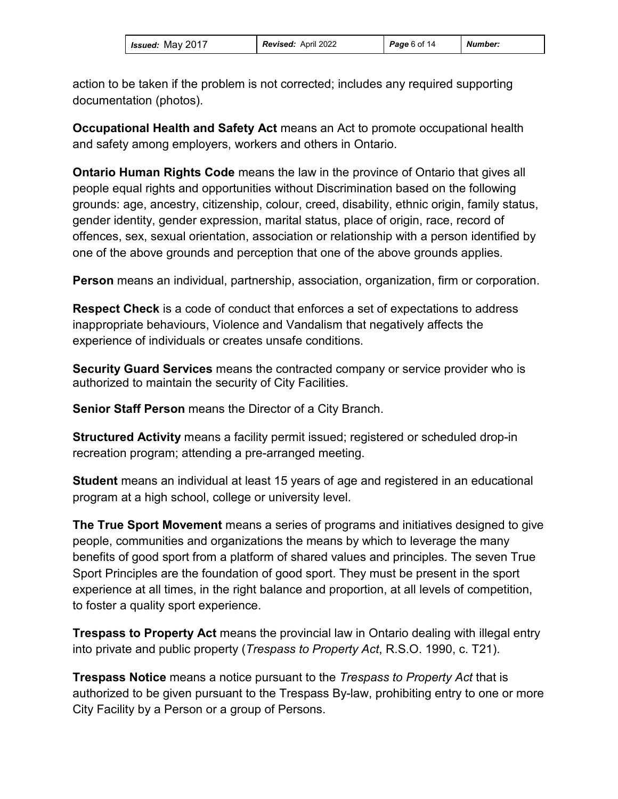| <b>Issued: May 2017</b> | <b>Revised: April 2022</b> | Page6 of 14 | <b>Number:</b> |
|-------------------------|----------------------------|-------------|----------------|
|-------------------------|----------------------------|-------------|----------------|

action to be taken if the problem is not corrected; includes any required supporting documentation (photos).

**Occupational Health and Safety Act** means an Act to promote occupational health and safety among employers, workers and others in Ontario.

**Ontario Human Rights Code** means the law in the province of Ontario that gives all people equal rights and opportunities without Discrimination based on the following grounds: age, ancestry, citizenship, colour, creed, disability, ethnic origin, family status, gender identity, gender expression, marital status, place of origin, race, record of offences, sex, sexual orientation, association or relationship with a person identified by one of the above grounds and perception that one of the above grounds applies.

**Person** means an individual, partnership, association, organization, firm or corporation.

**Respect Check** is a code of conduct that enforces a set of expectations to address inappropriate behaviours, Violence and Vandalism that negatively affects the experience of individuals or creates unsafe conditions.

**Security Guard Services** means the contracted company or service provider who is authorized to maintain the security of City Facilities.

**Senior Staff Person** means the Director of a City Branch.

**Structured Activity** means a facility permit issued; registered or scheduled drop-in recreation program; attending a pre-arranged meeting.

**Student** means an individual at least 15 years of age and registered in an educational program at a high school, college or university level.

**The True Sport Movement** means a series of programs and initiatives designed to give people, communities and organizations the means by which to leverage the many benefits of good sport from a platform of shared values and principles. The seven True Sport Principles are the foundation of good sport. They must be present in the sport experience at all times, in the right balance and proportion, at all levels of competition, to foster a quality sport experience.

**Trespass to Property Act** means the provincial law in Ontario dealing with illegal entry into private and public property (*Trespass to Property Act*, R.S.O. 1990, c. T21).

**Trespass Notice** means a notice pursuant to the *Trespass to Property Act* that is authorized to be given pursuant to the Trespass By-law, prohibiting entry to one or more City Facility by a Person or a group of Persons.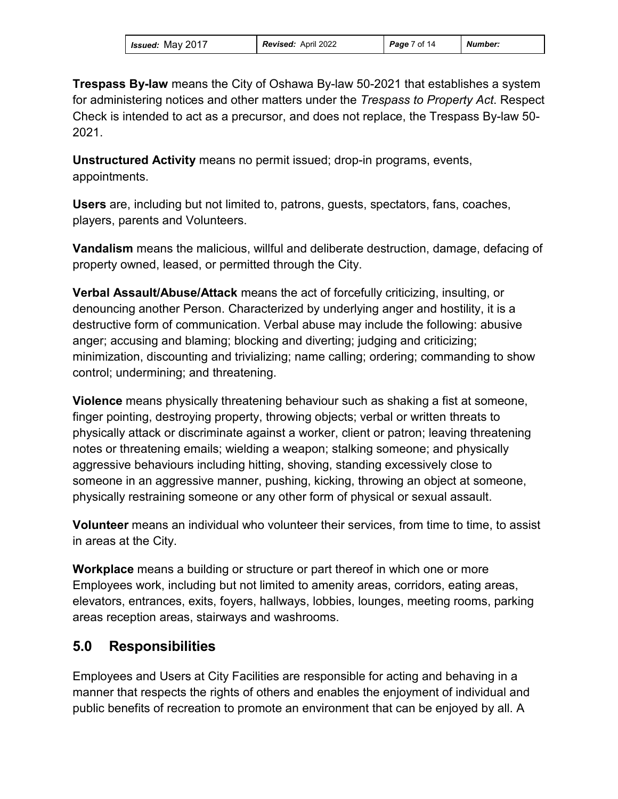| <b>Issued: May 2017</b> | <b>Revised: April 2022</b> | <b>Page</b> 7 of 14 | Number: |
|-------------------------|----------------------------|---------------------|---------|
|-------------------------|----------------------------|---------------------|---------|

**Trespass By-law** means the City of Oshawa By-law 50-2021 that establishes a system for administering notices and other matters under the *Trespass to Property Act*. Respect Check is intended to act as a precursor, and does not replace, the Trespass By-law 50- 2021.

**Unstructured Activity** means no permit issued; drop-in programs, events, appointments.

**Users** are, including but not limited to, patrons, guests, spectators, fans, coaches, players, parents and Volunteers.

**Vandalism** means the malicious, willful and deliberate destruction, damage, defacing of property owned, leased, or permitted through the City.

**Verbal Assault/Abuse/Attack** means the act of forcefully criticizing, insulting, or denouncing another Person. Characterized by underlying anger and hostility, it is a destructive form of communication. Verbal abuse may include the following: abusive anger; accusing and blaming; blocking and diverting; judging and criticizing; minimization, discounting and trivializing; name calling; ordering; commanding to show control; undermining; and threatening.

**Violence** means physically threatening behaviour such as shaking a fist at someone, finger pointing, destroying property, throwing objects; verbal or written threats to physically attack or discriminate against a worker, client or patron; leaving threatening notes or threatening emails; wielding a weapon; stalking someone; and physically aggressive behaviours including hitting, shoving, standing excessively close to someone in an aggressive manner, pushing, kicking, throwing an object at someone, physically restraining someone or any other form of physical or sexual assault.

**Volunteer** means an individual who volunteer their services, from time to time, to assist in areas at the City.

**Workplace** means a building or structure or part thereof in which one or more Employees work, including but not limited to amenity areas, corridors, eating areas, elevators, entrances, exits, foyers, hallways, lobbies, lounges, meeting rooms, parking areas reception areas, stairways and washrooms.

# **5.0 Responsibilities**

Employees and Users at City Facilities are responsible for acting and behaving in a manner that respects the rights of others and enables the enjoyment of individual and public benefits of recreation to promote an environment that can be enjoyed by all. A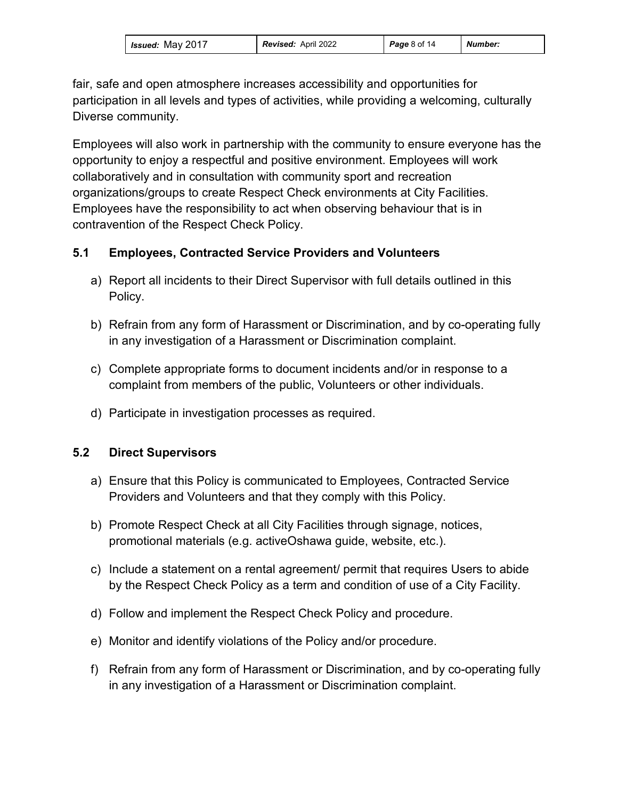| Issued: May 2017 | <b>Revised: April 2022</b> | <b>Page 8 of 14</b> | Number: |
|------------------|----------------------------|---------------------|---------|
|------------------|----------------------------|---------------------|---------|

fair, safe and open atmosphere increases accessibility and opportunities for participation in all levels and types of activities, while providing a welcoming, culturally Diverse community.

Employees will also work in partnership with the community to ensure everyone has the opportunity to enjoy a respectful and positive environment. Employees will work collaboratively and in consultation with community sport and recreation organizations/groups to create Respect Check environments at City Facilities. Employees have the responsibility to act when observing behaviour that is in contravention of the Respect Check Policy.

#### **5.1 Employees, Contracted Service Providers and Volunteers**

- a) Report all incidents to their Direct Supervisor with full details outlined in this Policy.
- b) Refrain from any form of Harassment or Discrimination, and by co-operating fully in any investigation of a Harassment or Discrimination complaint.
- c) Complete appropriate forms to document incidents and/or in response to a complaint from members of the public, Volunteers or other individuals.
- d) Participate in investigation processes as required.

#### **5.2 Direct Supervisors**

- a) Ensure that this Policy is communicated to Employees, Contracted Service Providers and Volunteers and that they comply with this Policy.
- b) Promote Respect Check at all City Facilities through signage, notices, promotional materials (e.g. activeOshawa guide, website, etc.).
- c) Include a statement on a rental agreement/ permit that requires Users to abide by the Respect Check Policy as a term and condition of use of a City Facility.
- d) Follow and implement the Respect Check Policy and procedure.
- e) Monitor and identify violations of the Policy and/or procedure.
- f) Refrain from any form of Harassment or Discrimination, and by co-operating fully in any investigation of a Harassment or Discrimination complaint.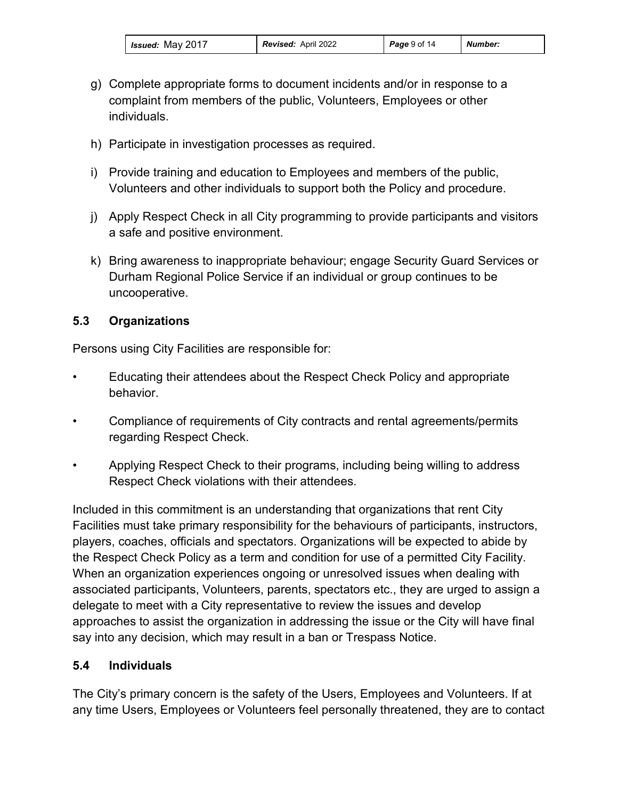- g) Complete appropriate forms to document incidents and/or in response to a complaint from members of the public, Volunteers, Employees or other individuals.
- h) Participate in investigation processes as required.
- i) Provide training and education to Employees and members of the public, Volunteers and other individuals to support both the Policy and procedure.
- j) Apply Respect Check in all City programming to provide participants and visitors a safe and positive environment.
- k) Bring awareness to inappropriate behaviour; engage Security Guard Services or Durham Regional Police Service if an individual or group continues to be uncooperative.

#### **5.3 Organizations**

Persons using City Facilities are responsible for:

- Educating their attendees about the Respect Check Policy and appropriate behavior.
- Compliance of requirements of City contracts and rental agreements/permits regarding Respect Check.
- Applying Respect Check to their programs, including being willing to address Respect Check violations with their attendees.

Included in this commitment is an understanding that organizations that rent City Facilities must take primary responsibility for the behaviours of participants, instructors, players, coaches, officials and spectators. Organizations will be expected to abide by the Respect Check Policy as a term and condition for use of a permitted City Facility. When an organization experiences ongoing or unresolved issues when dealing with associated participants, Volunteers, parents, spectators etc., they are urged to assign a delegate to meet with a City representative to review the issues and develop approaches to assist the organization in addressing the issue or the City will have final say into any decision, which may result in a ban or Trespass Notice.

## **5.4 Individuals**

The City's primary concern is the safety of the Users, Employees and Volunteers. If at any time Users, Employees or Volunteers feel personally threatened, they are to contact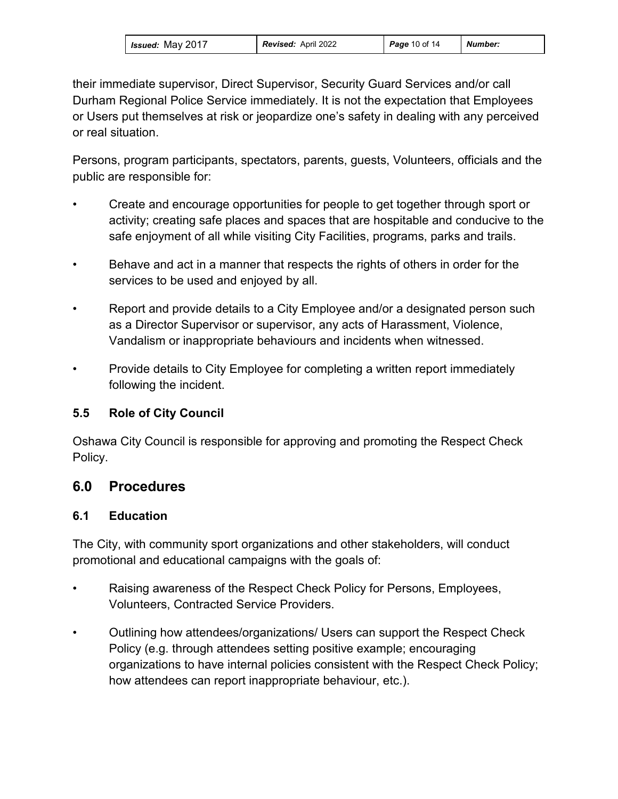| <b>Issued: May 2017</b> | <b>Revised: April 2022</b> | <b>Page 10 of 14</b> | Number: |
|-------------------------|----------------------------|----------------------|---------|
|-------------------------|----------------------------|----------------------|---------|

their immediate supervisor, Direct Supervisor, Security Guard Services and/or call Durham Regional Police Service immediately. It is not the expectation that Employees or Users put themselves at risk or jeopardize one's safety in dealing with any perceived or real situation.

Persons, program participants, spectators, parents, guests, Volunteers, officials and the public are responsible for:

- Create and encourage opportunities for people to get together through sport or activity; creating safe places and spaces that are hospitable and conducive to the safe enjoyment of all while visiting City Facilities, programs, parks and trails.
- Behave and act in a manner that respects the rights of others in order for the services to be used and enjoyed by all.
- Report and provide details to a City Employee and/or a designated person such as a Director Supervisor or supervisor, any acts of Harassment, Violence, Vandalism or inappropriate behaviours and incidents when witnessed.
- Provide details to City Employee for completing a written report immediately following the incident.

#### **5.5 Role of City Council**

Oshawa City Council is responsible for approving and promoting the Respect Check Policy.

# **6.0 Procedures**

#### **6.1 Education**

The City, with community sport organizations and other stakeholders, will conduct promotional and educational campaigns with the goals of:

- Raising awareness of the Respect Check Policy for Persons, Employees, Volunteers, Contracted Service Providers.
- Outlining how attendees/organizations/ Users can support the Respect Check Policy (e.g. through attendees setting positive example; encouraging organizations to have internal policies consistent with the Respect Check Policy; how attendees can report inappropriate behaviour, etc.).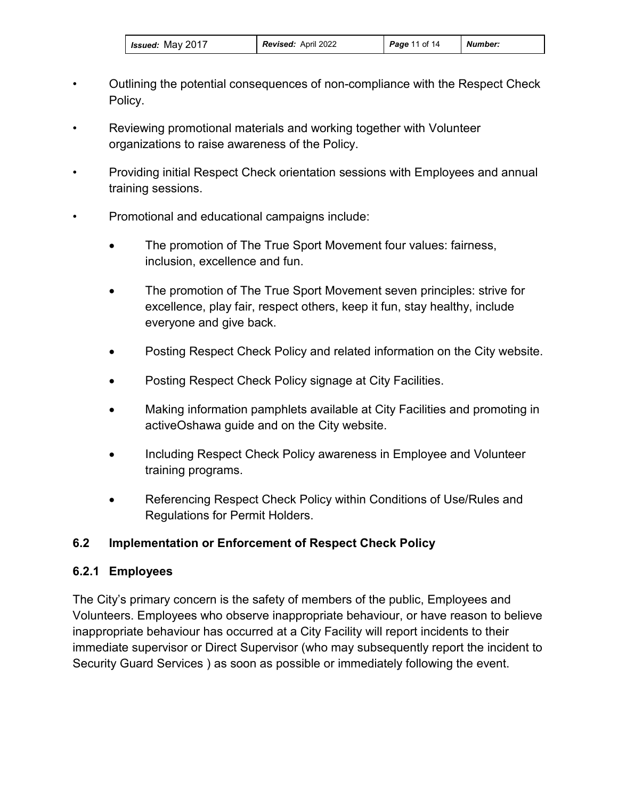- Outlining the potential consequences of non-compliance with the Respect Check Policy.
- Reviewing promotional materials and working together with Volunteer organizations to raise awareness of the Policy.
- Providing initial Respect Check orientation sessions with Employees and annual training sessions.
- Promotional and educational campaigns include:
	- The promotion of The True Sport Movement four values: fairness, inclusion, excellence and fun.
	- The promotion of The True Sport Movement seven principles: strive for excellence, play fair, respect others, keep it fun, stay healthy, include everyone and give back.
	- Posting Respect Check Policy and related information on the City website.
	- Posting Respect Check Policy signage at City Facilities.
	- Making information pamphlets available at City Facilities and promoting in activeOshawa guide and on the City website.
	- Including Respect Check Policy awareness in Employee and Volunteer training programs.
	- Referencing Respect Check Policy within Conditions of Use/Rules and Regulations for Permit Holders.

#### **6.2 Implementation or Enforcement of Respect Check Policy**

#### **6.2.1 Employees**

The City's primary concern is the safety of members of the public, Employees and Volunteers. Employees who observe inappropriate behaviour, or have reason to believe inappropriate behaviour has occurred at a City Facility will report incidents to their immediate supervisor or Direct Supervisor (who may subsequently report the incident to Security Guard Services ) as soon as possible or immediately following the event.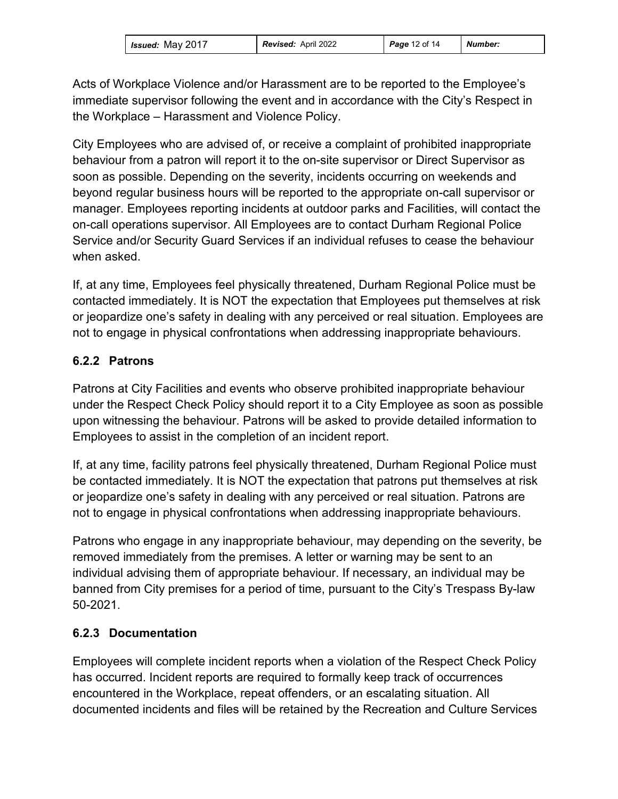| <i>Issued:</i> May 2017 | <b>Revised: April 2022</b> | <b>Page 12 of 14</b> | <b>Number:</b> |
|-------------------------|----------------------------|----------------------|----------------|
|-------------------------|----------------------------|----------------------|----------------|

Acts of Workplace Violence and/or Harassment are to be reported to the Employee's immediate supervisor following the event and in accordance with the City's Respect in the Workplace – Harassment and Violence Policy.

City Employees who are advised of, or receive a complaint of prohibited inappropriate behaviour from a patron will report it to the on-site supervisor or Direct Supervisor as soon as possible. Depending on the severity, incidents occurring on weekends and beyond regular business hours will be reported to the appropriate on-call supervisor or manager. Employees reporting incidents at outdoor parks and Facilities, will contact the on-call operations supervisor. All Employees are to contact Durham Regional Police Service and/or Security Guard Services if an individual refuses to cease the behaviour when asked.

If, at any time, Employees feel physically threatened, Durham Regional Police must be contacted immediately. It is NOT the expectation that Employees put themselves at risk or jeopardize one's safety in dealing with any perceived or real situation. Employees are not to engage in physical confrontations when addressing inappropriate behaviours.

## **6.2.2 Patrons**

Patrons at City Facilities and events who observe prohibited inappropriate behaviour under the Respect Check Policy should report it to a City Employee as soon as possible upon witnessing the behaviour. Patrons will be asked to provide detailed information to Employees to assist in the completion of an incident report.

If, at any time, facility patrons feel physically threatened, Durham Regional Police must be contacted immediately. It is NOT the expectation that patrons put themselves at risk or jeopardize one's safety in dealing with any perceived or real situation. Patrons are not to engage in physical confrontations when addressing inappropriate behaviours.

Patrons who engage in any inappropriate behaviour, may depending on the severity, be removed immediately from the premises. A letter or warning may be sent to an individual advising them of appropriate behaviour. If necessary, an individual may be banned from City premises for a period of time, pursuant to the City's Trespass By-law 50-2021.

#### **6.2.3 Documentation**

Employees will complete incident reports when a violation of the Respect Check Policy has occurred. Incident reports are required to formally keep track of occurrences encountered in the Workplace, repeat offenders, or an escalating situation. All documented incidents and files will be retained by the Recreation and Culture Services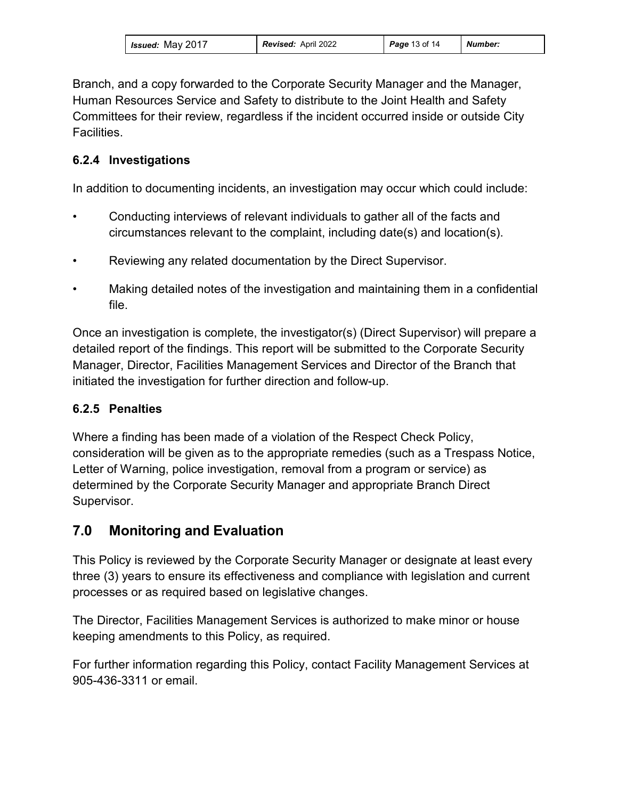| <i>Issued:</i> May 2017<br><b>Revised:</b> April 2022<br><b>Page 13 of 14</b><br>Number: |  |
|------------------------------------------------------------------------------------------|--|
|------------------------------------------------------------------------------------------|--|

Branch, and a copy forwarded to the Corporate Security Manager and the Manager, Human Resources Service and Safety to distribute to the Joint Health and Safety Committees for their review, regardless if the incident occurred inside or outside City **Facilities** 

### **6.2.4 Investigations**

In addition to documenting incidents, an investigation may occur which could include:

- Conducting interviews of relevant individuals to gather all of the facts and circumstances relevant to the complaint, including date(s) and location(s).
- Reviewing any related documentation by the Direct Supervisor.
- Making detailed notes of the investigation and maintaining them in a confidential file.

Once an investigation is complete, the investigator(s) (Direct Supervisor) will prepare a detailed report of the findings. This report will be submitted to the Corporate Security Manager, Director, Facilities Management Services and Director of the Branch that initiated the investigation for further direction and follow-up.

## **6.2.5 Penalties**

Where a finding has been made of a violation of the Respect Check Policy, consideration will be given as to the appropriate remedies (such as a Trespass Notice, Letter of Warning, police investigation, removal from a program or service) as determined by the Corporate Security Manager and appropriate Branch Direct Supervisor.

# **7.0 Monitoring and Evaluation**

This Policy is reviewed by the Corporate Security Manager or designate at least every three (3) years to ensure its effectiveness and compliance with legislation and current processes or as required based on legislative changes.

The Director, Facilities Management Services is authorized to make minor or house keeping amendments to this Policy, as required.

For further information regarding this Policy, contact Facility Management Services at 905-436-3311 or email.